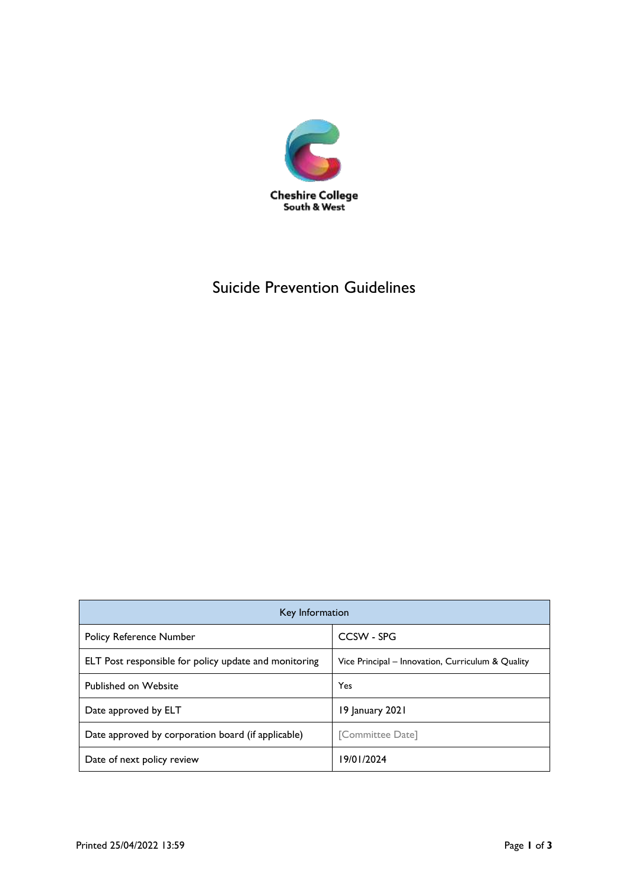

# Suicide Prevention Guidelines

| Key Information                                       |                                                   |
|-------------------------------------------------------|---------------------------------------------------|
| <b>Policy Reference Number</b>                        | CCSW - SPG                                        |
| ELT Post responsible for policy update and monitoring | Vice Principal – Innovation, Curriculum & Quality |
| <b>Published on Website</b>                           | Yes                                               |
| Date approved by ELT                                  | 19 January 2021                                   |
| Date approved by corporation board (if applicable)    | [Committee Date]                                  |
| Date of next policy review                            | 19/01/2024                                        |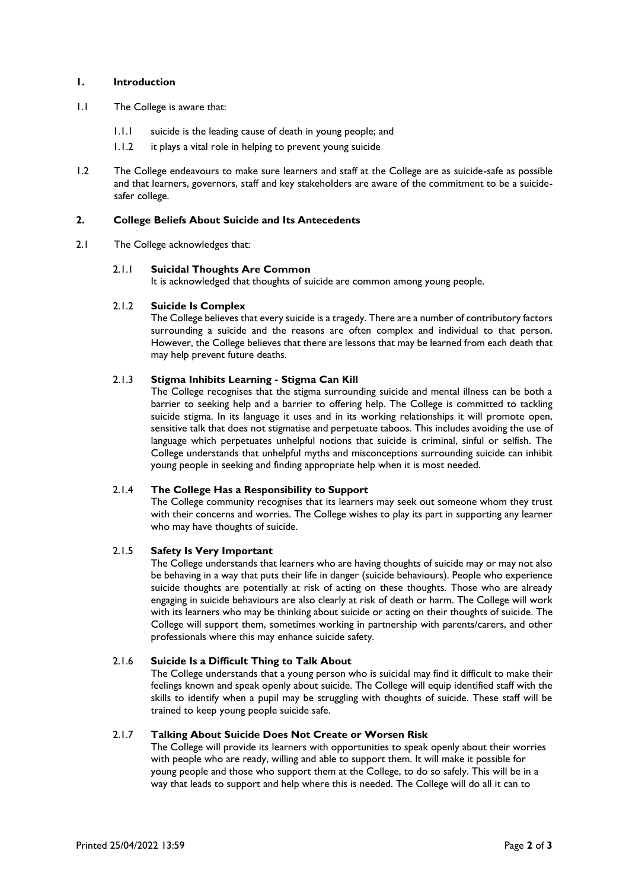#### **1. Introduction**

- 1.1 The College is aware that:
	- 1.1.1 suicide is the leading cause of death in young people; and
	- 1.1.2 it plays a vital role in helping to prevent young suicide
- 1.2 The College endeavours to make sure learners and staff at the College are as suicide-safe as possible and that learners, governors, staff and key stakeholders are aware of the commitment to be a suicidesafer college.

#### **2. College Beliefs About Suicide and Its Antecedents**

2.1 The College acknowledges that:

#### 2.1.1 **Suicidal Thoughts Are Common**

It is acknowledged that thoughts of suicide are common among young people.

# 2.1.2 **Suicide Is Complex**

The College believes that every suicide is a tragedy. There are a number of contributory factors surrounding a suicide and the reasons are often complex and individual to that person. However, the College believes that there are lessons that may be learned from each death that may help prevent future deaths.

## 2.1.3 **Stigma Inhibits Learning - Stigma Can Kill**

The College recognises that the stigma surrounding suicide and mental illness can be both a barrier to seeking help and a barrier to offering help. The College is committed to tackling suicide stigma. In its language it uses and in its working relationships it will promote open, sensitive talk that does not stigmatise and perpetuate taboos. This includes avoiding the use of language which perpetuates unhelpful notions that suicide is criminal, sinful or selfish. The College understands that unhelpful myths and misconceptions surrounding suicide can inhibit young people in seeking and finding appropriate help when it is most needed.

## 2.1.4 **The College Has a Responsibility to Support**

The College community recognises that its learners may seek out someone whom they trust with their concerns and worries. The College wishes to play its part in supporting any learner who may have thoughts of suicide.

# 2.1.5 **Safety Is Very Important**

The College understands that learners who are having thoughts of suicide may or may not also be behaving in a way that puts their life in danger (suicide behaviours). People who experience suicide thoughts are potentially at risk of acting on these thoughts. Those who are already engaging in suicide behaviours are also clearly at risk of death or harm. The College will work with its learners who may be thinking about suicide or acting on their thoughts of suicide. The College will support them, sometimes working in partnership with parents/carers, and other professionals where this may enhance suicide safety.

## 2.1.6 **Suicide Is a Difficult Thing to Talk About**

The College understands that a young person who is suicidal may find it difficult to make their feelings known and speak openly about suicide. The College will equip identified staff with the skills to identify when a pupil may be struggling with thoughts of suicide. These staff will be trained to keep young people suicide safe.

#### 2.1.7 **Talking About Suicide Does Not Create or Worsen Risk**

The College will provide its learners with opportunities to speak openly about their worries with people who are ready, willing and able to support them. It will make it possible for young people and those who support them at the College, to do so safely. This will be in a way that leads to support and help where this is needed. The College will do all it can to